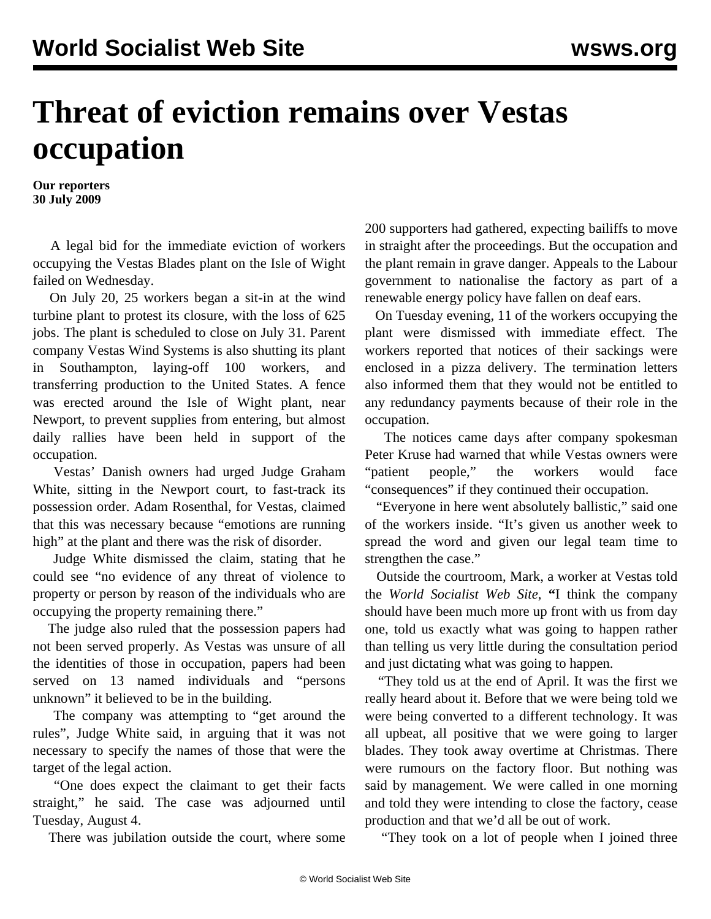## **Threat of eviction remains over Vestas occupation**

**Our reporters 30 July 2009**

 A legal bid for the immediate eviction of workers occupying the Vestas Blades plant on the Isle of Wight failed on Wednesday.

 On July 20, 25 workers began a sit-in at the wind turbine plant to protest its closure, with the loss of 625 jobs. The plant is scheduled to close on July 31. Parent company Vestas Wind Systems is also shutting its plant in Southampton, laying-off 100 workers, and transferring production to the United States. A fence was erected around the Isle of Wight plant, near Newport, to prevent supplies from entering, but almost daily rallies have been held in support of the occupation.

 Vestas' Danish owners had urged Judge Graham White, sitting in the Newport court, to fast-track its possession order. Adam Rosenthal, for Vestas, claimed that this was necessary because "emotions are running high" at the plant and there was the risk of disorder.

 Judge White dismissed the claim, stating that he could see "no evidence of any threat of violence to property or person by reason of the individuals who are occupying the property remaining there."

 The judge also ruled that the possession papers had not been served properly. As Vestas was unsure of all the identities of those in occupation, papers had been served on 13 named individuals and "persons unknown" it believed to be in the building.

 The company was attempting to "get around the rules", Judge White said, in arguing that it was not necessary to specify the names of those that were the target of the legal action.

 "One does expect the claimant to get their facts straight," he said. The case was adjourned until Tuesday, August 4.

There was jubilation outside the court, where some

200 supporters had gathered, expecting bailiffs to move in straight after the proceedings. But the occupation and the plant remain in grave danger. Appeals to the Labour government to nationalise the factory as part of a renewable energy policy have fallen on deaf ears.

 On Tuesday evening, 11 of the workers occupying the plant were dismissed with immediate effect. The workers reported that notices of their sackings were enclosed in a pizza delivery. The termination letters also informed them that they would not be entitled to any redundancy payments because of their role in the occupation.

 The notices came days after company spokesman Peter Kruse had warned that while Vestas owners were "patient people," the workers would face "consequences" if they continued their occupation.

 "Everyone in here went absolutely ballistic," said one of the workers inside. "It's given us another week to spread the word and given our legal team time to strengthen the case."

 Outside the courtroom, Mark, a worker at Vestas told the *World Socialist Web Site*, **"**I think the company should have been much more up front with us from day one, told us exactly what was going to happen rather than telling us very little during the consultation period and just dictating what was going to happen.

 "They told us at the end of April. It was the first we really heard about it. Before that we were being told we were being converted to a different technology. It was all upbeat, all positive that we were going to larger blades. They took away overtime at Christmas. There were rumours on the factory floor. But nothing was said by management. We were called in one morning and told they were intending to close the factory, cease production and that we'd all be out of work.

"They took on a lot of people when I joined three